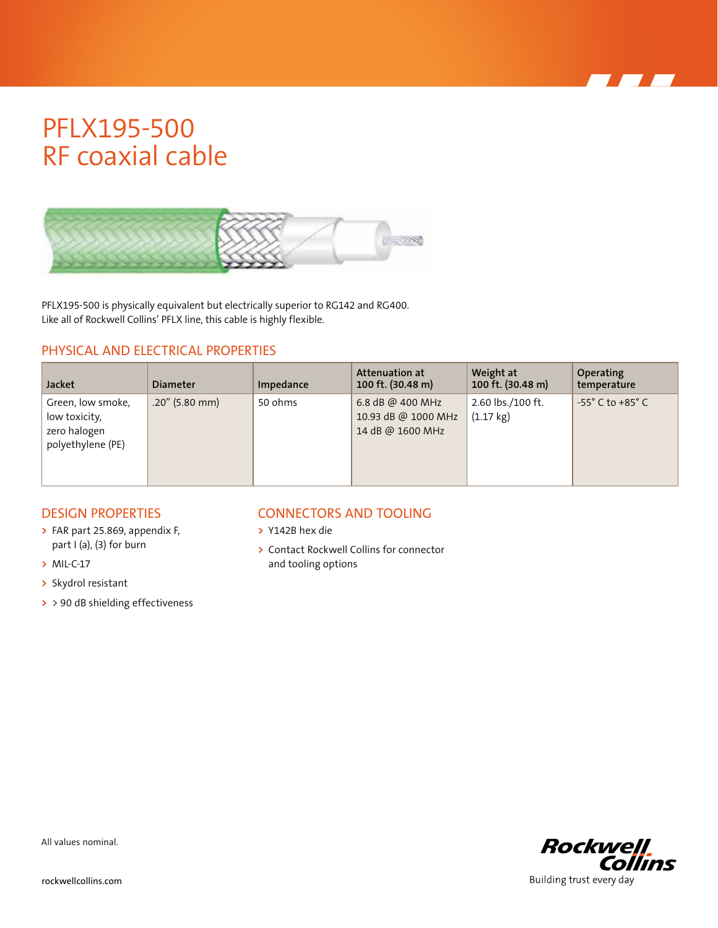## PFLX195-500 RF coaxial cable



PFLX195-500 is physically equivalent but electrically superior to RG142 and RG400. Like all of Rockwell Collins' PFLX line, this cable is highly flexible.

### PHYSICAL AND ELECTRICAL PROPERTIES

| <b>Jacket</b>                                                           | <b>Diameter</b>   | Impedance | Attenuation at<br>100 ft. (30.48 m)                         | Weight at<br>100 ft. (30.48 m)           | <b>Operating</b><br>temperature    |
|-------------------------------------------------------------------------|-------------------|-----------|-------------------------------------------------------------|------------------------------------------|------------------------------------|
| Green, low smoke,<br>low toxicity,<br>zero halogen<br>polyethylene (PE) | $.20''$ (5.80 mm) | 50 ohms   | 6.8 dB @ 400 MHz<br>10.93 dB @ 1000 MHz<br>14 dB @ 1600 MHz | 2.60 lbs./100 ft.<br>$(1.17 \text{ kg})$ | $-55^{\circ}$ C to $+85^{\circ}$ C |

### DESIGN PROPERTIES

- **>** FAR part 25.869, appendix F, part I (a), (3) for burn
- **>** MIL-C-17
- **>** Skydrol resistant
- **>** > 90 dB shielding effectiveness

### CONNECTORS AND TOOLING

- **>** Y142B hex die
- **>** Contact Rockwell Collins for connector and tooling options



All values nominal.